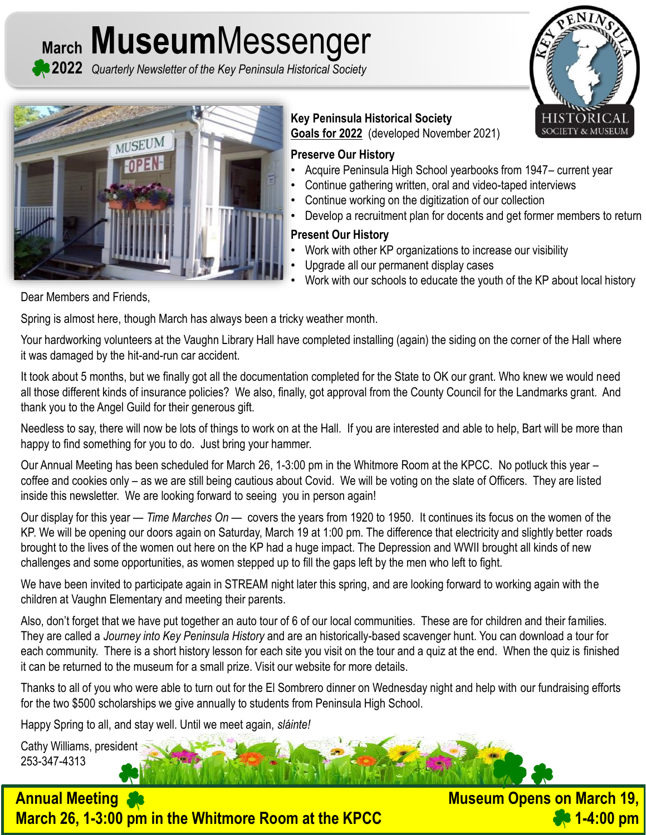**March Museum**Messenger

**2022** *Quarterly Newsletter of the Key Peninsula Historical Society*





**Key Peninsula Historical Society Goals for 2022** (developed November 2021)

#### **Preserve Our History**

- Acquire Peninsula High School yearbooks from 1947– current year
- Continue gathering written, oral and video-taped interviews
- Continue working on the digitization of our collection
- Develop a recruitment plan for docents and get former members to return

#### **Present Our History**

- Work with other KP organizations to increase our visibility
- Upgrade all our permanent display cases
- Work with our schools to educate the youth of the KP about local history

Dear Members and Friends,

Spring is almost here, though March has always been a tricky weather month.

Your hardworking volunteers at the Vaughn Library Hall have completed installing (again) the siding on the corner of the Hall where it was damaged by the hit-and-run car accident.

It took about 5 months, but we finally got all the documentation completed for the State to OK our grant. Who knew we would need all those different kinds of insurance policies? We also, finally, got approval from the County Council for the Landmarks grant. And thank you to the Angel Guild for their generous gift.

Needless to say, there will now be lots of things to work on at the Hall. If you are interested and able to help, Bart will be more than happy to find something for you to do. Just bring your hammer.

Our Annual Meeting has been scheduled for March 26, 1-3:00 pm in the Whitmore Room at the KPCC. No potluck this year – coffee and cookies only – as we are still being cautious about Covid. We will be voting on the slate of Officers. They are listed inside this newsletter. We are looking forward to seeing you in person again!

Our display for this year — *Time Marches On* — covers the years from 1920 to 1950. It continues its focus on the women of the KP. We will be opening our doors again on Saturday, March 19 at 1:00 pm. The difference that electricity and slightly better roads brought to the lives of the women out here on the KP had a huge impact. The Depression and WWII brought all kinds of new challenges and some opportunities, as women stepped up to fill the gaps left by the men who left to fight.

We have been invited to participate again in STREAM night later this spring, and are looking forward to working again with the children at Vaughn Elementary and meeting their parents.

Also, don't forget that we have put together an auto tour of 6 of our local communities. These are for children and their families. They are called a *Journey into Key Peninsula History* and are an historically-based scavenger hunt. You can download a tour for each community. There is a short history lesson for each site you visit on the tour and a quiz at the end. When the quiz is finished it can be returned to the museum for a small prize. Visit our website for more details.

Thanks to all of you who were able to turn out for the El Sombrero dinner on Wednesday night and help with our fundraising efforts for the two \$500 scholarships we give annually to students from Peninsula High School.

Happy Spring to all, and stay well. Until we meet again, *sláinte!*

Cathy Williams, president 253-347-4313



**Museum Opens on March 19, 1-4:00 pm**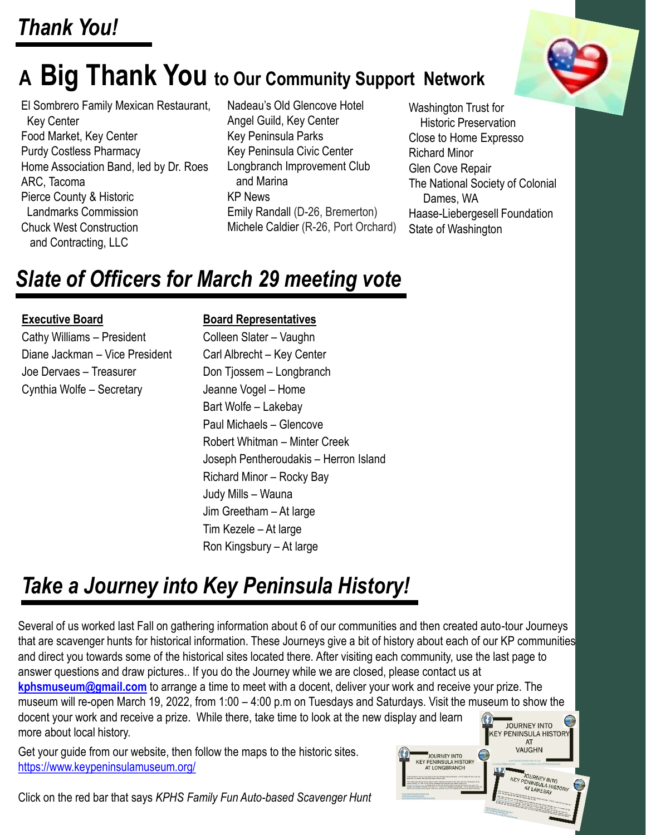# **A Big Thank You to Our Community Support Network**

El Sombrero Family Mexican Restaurant, Key Center Food Market, Key Center Purdy Costless Pharmacy Home Association Band, led by Dr. Roes ARC, Tacoma Pierce County & Historic Landmarks Commission Chuck West Construction and Contracting, LLC

Nadeau's Old Glencove Hotel Angel Guild, Key Center Key Peninsula Parks Key Peninsula Civic Center Longbranch Improvement Club and Marina KP News Emily Randall (D-26, Bremerton) Michele Caldier (R-26, Port Orchard)

Washington Trust for Historic Preservation Close to Home Expresso Richard Minor Glen Cove Repair The National Society of Colonial Dames, WA Haase-Liebergesell Foundation State of Washington

JOURNEY INTO **KFY PENINSULA HISTORY** AT LONGBRANCH

JOURNEY INTO<br>PENINSULA HISTORY<br>AT LAKEBAY<br>TELERAY

# *Slate of Officers for March 29 meeting vote*

#### **Executive Board**

Cathy Williams – President Diane Jackman – Vice President Joe Dervaes – Treasurer Cynthia Wolfe – Secretary

#### **Board Representatives**

Colleen Slater – Vaughn Carl Albrecht – Key Center Don Tjossem – Longbranch Jeanne Vogel – Home Bart Wolfe – Lakebay Paul Michaels – Glencove Robert Whitman – Minter Creek Joseph Pentheroudakis – Herron Island Richard Minor – Rocky Bay Judy Mills – Wauna Jim Greetham – At large Tim Kezele – At large Ron Kingsbury – At large

## *Take a Journey into Key Peninsula History!*

Several of us worked last Fall on gathering information about 6 of our communities and then created auto-tour Journeys that are scavenger hunts for historical information. These Journeys give a bit of history about each of our KP communities and direct you towards some of the historical sites located there. After visiting each community, use the last page to answer questions and draw pictures.. If you do the Journey while we are closed, please contact us at **[kphsmuseum@gmail.com](mailto:kphsmuseum@gmail.com)** to arrange a time to meet with a docent, deliver your work and receive your prize. The museum will re-open March 19, 2022, from 1:00 – 4:00 p.m on Tuesdays and Saturdays. Visit the museum to show the docent your work and receive a prize. While there, take time to look at the new display and learn **SALE SOURNEY INTO CONTRACT SOURCE**<br>KEY PENINSULA HISTORY more about local history. AT<br>VAUGHN

Get your guide from our website, then follow the maps to the historic sites. <https://www.keypeninsulamuseum.org/>

Click on the red bar that says *KPHS Family Fun Auto-based Scavenger Hunt*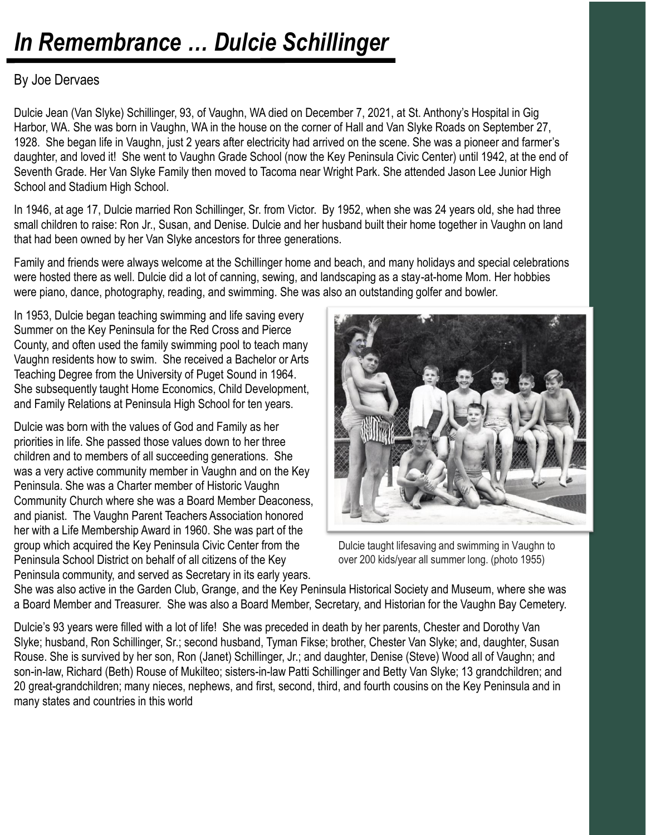# *In Remembrance … Dulcie Schillinger*

### By Joe Dervaes

Dulcie Jean (Van Slyke) Schillinger, 93, of Vaughn, WA died on December 7, 2021, at St. Anthony's Hospital in Gig Harbor, WA. She was born in Vaughn, WA in the house on the corner of Hall and Van Slyke Roads on September 27, 1928. She began life in Vaughn, just 2 years after electricity had arrived on the scene. She was a pioneer and farmer's daughter, and loved it! She went to Vaughn Grade School (now the Key Peninsula Civic Center) until 1942, at the end of Seventh Grade. Her Van Slyke Family then moved to Tacoma near Wright Park. She attended Jason Lee Junior High School and Stadium High School.

In 1946, at age 17, Dulcie married Ron Schillinger, Sr. from Victor. By 1952, when she was 24 years old, she had three small children to raise: Ron Jr., Susan, and Denise. Dulcie and her husband built their home together in Vaughn on land that had been owned by her Van Slyke ancestors for three generations.

Family and friends were always welcome at the Schillinger home and beach, and many holidays and special celebrations were hosted there as well. Dulcie did a lot of canning, sewing, and landscaping as a stay-at-home Mom. Her hobbies were piano, dance, photography, reading, and swimming. She was also an outstanding golfer and bowler.

In 1953, Dulcie began teaching swimming and life saving every Summer on the Key Peninsula for the Red Cross and Pierce County, and often used the family swimming pool to teach many Vaughn residents how to swim. She received a Bachelor or Arts Teaching Degree from the University of Puget Sound in 1964. She subsequently taught Home Economics, Child Development, and Family Relations at Peninsula High School for ten years.

Dulcie was born with the values of God and Family as her priorities in life. She passed those values down to her three children and to members of all succeeding generations. She was a very active community member in Vaughn and on the Key Peninsula. She was a Charter member of Historic Vaughn Community Church where she was a Board Member Deaconess, and pianist. The Vaughn Parent Teachers Association honored her with a Life Membership Award in 1960. She was part of the group which acquired the Key Peninsula Civic Center from the Peninsula School District on behalf of all citizens of the Key Peninsula community, and served as Secretary in its early years.



Dulcie taught lifesaving and swimming in Vaughn to over 200 kids/year all summer long. (photo 1955)

She was also active in the Garden Club, Grange, and the Key Peninsula Historical Society and Museum, where she was a Board Member and Treasurer. She was also a Board Member, Secretary, and Historian for the Vaughn Bay Cemetery.

Dulcie's 93 years were filled with a lot of life! She was preceded in death by her parents, Chester and Dorothy Van Slyke; husband, Ron Schillinger, Sr.; second husband, Tyman Fikse; brother, Chester Van Slyke; and, daughter, Susan Rouse. She is survived by her son, Ron (Janet) Schillinger, Jr.; and daughter, Denise (Steve) Wood all of Vaughn; and son-in-law, Richard (Beth) Rouse of Mukilteo; sisters-in-law Patti Schillinger and Betty Van Slyke; 13 grandchildren; and 20 great-grandchildren; many nieces, nephews, and first, second, third, and fourth cousins on the Key Peninsula and in many states and countries in this world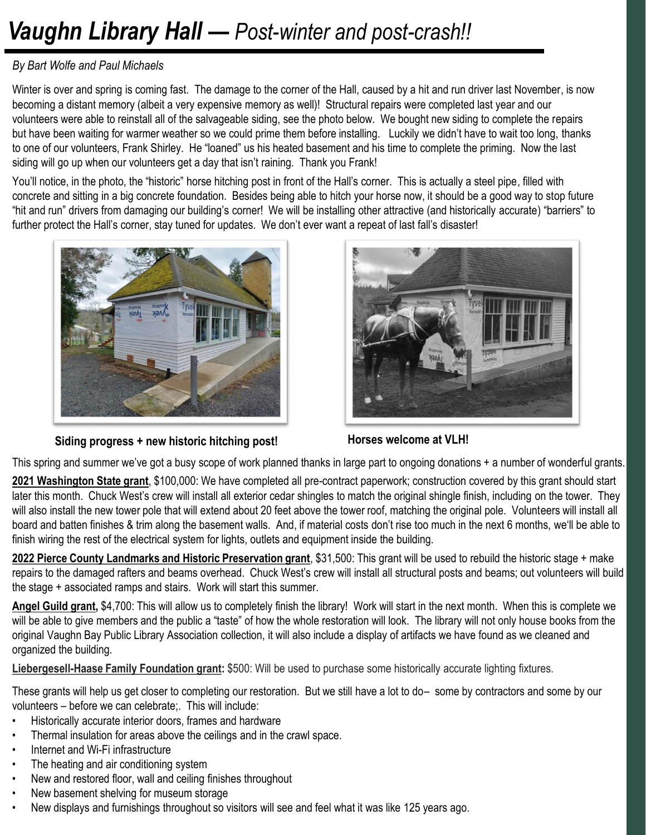# *Vaughn Library Hall — Post-winter and post-crash!!*

#### *By Bart Wolfe and Paul Michaels*

Winter is over and spring is coming fast. The damage to the corner of the Hall, caused by a hit and run driver last November, is now becoming a distant memory (albeit a very expensive memory as well)! Structural repairs were completed last year and our volunteers were able to reinstall all of the salvageable siding, see the photo below. We bought new siding to complete the repairs but have been waiting for warmer weather so we could prime them before installing. Luckily we didn't have to wait too long, thanks to one of our volunteers, Frank Shirley. He "loaned" us his heated basement and his time to complete the priming. Now the last siding will go up when our volunteers get a day that isn't raining. Thank you Frank!

You'll notice, in the photo, the "historic" horse hitching post in front of the Hall's corner. This is actually a steel pipe, filled with concrete and sitting in a big concrete foundation. Besides being able to hitch your horse now, it should be a good way to stop future "hit and run" drivers from damaging our building's corner! We will be installing other attractive (and historically accurate) "barriers" to further protect the Hall's corner, stay tuned for updates. We don't ever want a repeat of last fall's disaster!



**Siding progress + new historic hitching post! Horses welcome at VLH!**



This spring and summer we've got a busy scope of work planned thanks in large part to ongoing donations + a number of wonderful grants.

**2021 Washington State grant**, \$100,000: We have completed all pre-contract paperwork; construction covered by this grant should start later this month. Chuck West's crew will install all exterior cedar shingles to match the original shingle finish, including on the tower. They will also install the new tower pole that will extend about 20 feet above the tower roof, matching the original pole. Volunteers will install all board and batten finishes & trim along the basement walls. And, if material costs don't rise too much in the next 6 months, we'll be able to finish wiring the rest of the electrical system for lights, outlets and equipment inside the building.

**2022 Pierce County Landmarks and Historic Preservation grant**, \$31,500: This grant will be used to rebuild the historic stage + make repairs to the damaged rafters and beams overhead. Chuck West's crew will install all structural posts and beams; out volunteers will build the stage + associated ramps and stairs. Work will start this summer.

**Angel Guild grant,** \$4,700: This will allow us to completely finish the library! Work will start in the next month. When this is complete we will be able to give members and the public a "taste" of how the whole restoration will look. The library will not only house books from the original Vaughn Bay Public Library Association collection, it will also include a display of artifacts we have found as we cleaned and organized the building.

**Liebergesell-Haase Family Foundation grant:** \$500: Will be used to purchase some historically accurate lighting fixtures.

These grants will help us get closer to completing our restoration. But we still have a lot to do– some by contractors and some by our volunteers – before we can celebrate;. This will include:

- Historically accurate interior doors, frames and hardware
- Thermal insulation for areas above the ceilings and in the crawl space.
- Internet and Wi-Fi infrastructure
- The heating and air conditioning system
- New and restored floor, wall and ceiling finishes throughout
- New basement shelving for museum storage
- New displays and furnishings throughout so visitors will see and feel what it was like 125 years ago.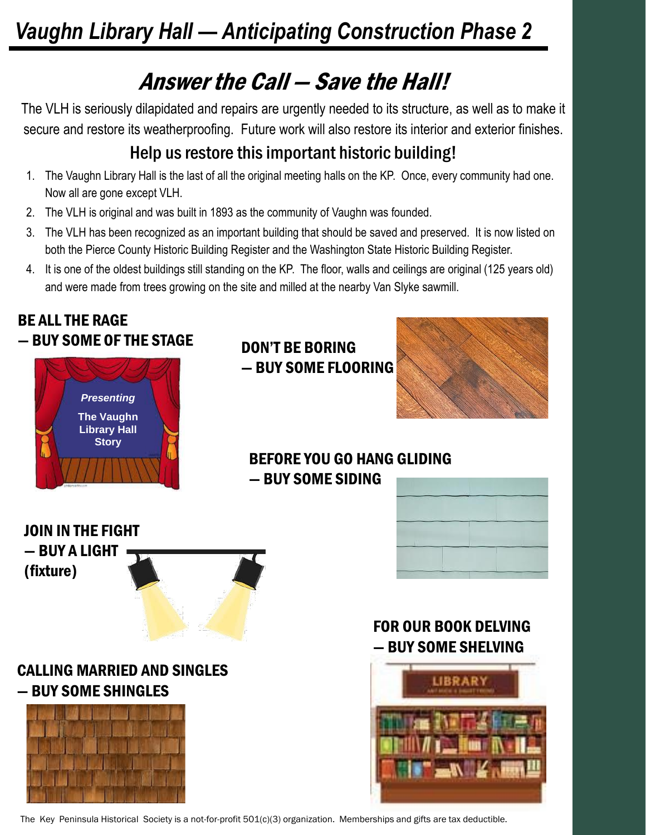# *Vaughn Library Hall — Anticipating Construction Phase 2*

# Answer the Call — Save the Hall!

The VLH is seriously dilapidated and repairs are urgently needed to its structure, as well as to make it secure and restore its weatherproofing. Future work will also restore its interior and exterior finishes.

## Help us restore this important historic building!

- 1. The Vaughn Library Hall is the last of all the original meeting halls on the KP. Once, every community had one. Now all are gone except VLH.
- 2. The VLH is original and was built in 1893 as the community of Vaughn was founded.
- 3. The VLH has been recognized as an important building that should be saved and preserved. It is now listed on both the Pierce County Historic Building Register and the Washington State Historic Building Register.
- 4. It is one of the oldest buildings still standing on the KP. The floor, walls and ceilings are original (125 years old) and were made from trees growing on the site and milled at the nearby Van Slyke sawmill.



The Key Peninsula Historical Society is a not-for-profit 501(c)(3) organization. Memberships and gifts are tax deductible.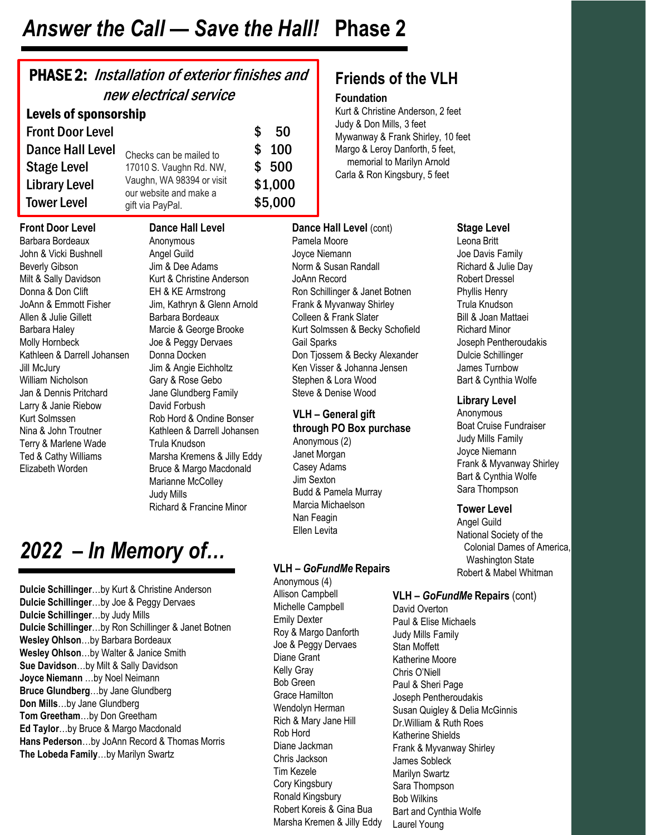## *Answer the Call — Save the Hall!* **Phase 2**

| <b>PHASE 2:</b> Installation of exterior finishes and<br>new electrical service                                                                                                                                                                                                                     |                                                                                                                                                                                                                                                                                           |          |                                                                                                                                                                                    |  |  |  |  |  |
|-----------------------------------------------------------------------------------------------------------------------------------------------------------------------------------------------------------------------------------------------------------------------------------------------------|-------------------------------------------------------------------------------------------------------------------------------------------------------------------------------------------------------------------------------------------------------------------------------------------|----------|------------------------------------------------------------------------------------------------------------------------------------------------------------------------------------|--|--|--|--|--|
| <b>Levels of sponsorship</b>                                                                                                                                                                                                                                                                        |                                                                                                                                                                                                                                                                                           |          |                                                                                                                                                                                    |  |  |  |  |  |
| <b>Front Door Level</b><br><b>Dance Hall Level</b><br><b>Stage Level</b><br><b>Library Level</b><br><b>Tower Level</b>                                                                                                                                                                              | Checks can be mailed to<br>17010 S. Vaughn Rd. NW,<br>Vaughn, WA 98394 or visit<br>our website and make a<br>gift via PayPal.                                                                                                                                                             | \$<br>\$ | 50<br>100<br>\$500<br>\$1,000<br>\$5,000                                                                                                                                           |  |  |  |  |  |
| <b>Front Door Level</b><br>Barbara Bordeaux<br>John & Vicki Bushnell<br><b>Beverly Gibson</b><br>Milt & Sally Davidson<br>Donna & Don Clift<br>JoAnn & Emmott Fisher<br>Allen & Julie Gillett<br>Barbara Haley<br>Molly Hornbeck<br>Kathleen & Darrell Johansen<br>Jill McJury<br>William Nicholson | <b>Dance Hall Level</b><br>Anonymous<br>Angel Guild<br>Jim & Dee Adams<br>Kurt & Christine Anderson<br>EH & KE Armstrong<br>Jim, Kathryn & Glenn Arnold<br>Barbara Bordeaux<br>Marcie & George Brooke<br>Joe & Peggy Dervaes<br>Donna Docken<br>Jim & Angie Eichholtz<br>Gary & Rose Gebo |          | Dance H<br>Pamela <sub>N</sub><br>Joyce Nie<br>Norm & S<br>JoAnn Re<br>Ron Schil<br>Frank & N<br>Colleen &<br>Kurt Solm<br>Gail Spar<br>Don Tjoss<br><b>Ken Visse</b><br>Stephen & |  |  |  |  |  |
| Jan & Dennis Pritchard<br>Larry & Janie Riebow<br>Kurt Solmssen<br>Nina & John Troutner<br>Terry & Marlene Wade<br>Ted & Cathy Williams<br>Elizabeth Worden                                                                                                                                         | Jane Glundberg Family<br>David Forbush<br>Rob Hord & Ondine Bonser<br>Kathleen & Darrell Johansen<br>Trula Knudson<br>Marsha Kremens & Jilly Eddy<br>Bruce & Margo Macdonald                                                                                                              |          | Steve & D<br>$VLH - G$<br>through<br>Anonymo<br>Janet Mo<br>Casey Ad                                                                                                               |  |  |  |  |  |

Marianne McColley

Richard & Francine Minor

Judy Mills

## *2022 – In Memory of…*

**Dulcie Schillinger**…by Kurt & Christine Anderson **Dulcie Schillinger**…by Joe & Peggy Dervaes **Dulcie Schillinger**…by Judy Mills **Dulcie Schillinger**…by Ron Schillinger & Janet Botnen **Wesley Ohlson**…by Barbara Bordeaux **Wesley Ohlson**…by Walter & Janice Smith **Sue Davidson**…by Milt & Sally Davidson **Joyce Niemann** …by Noel Neimann **Bruce Glundberg**…by Jane Glundberg **Don Mills**…by Jane Glundberg **Tom Greetham**…by Don Greetham **Ed Taylor**…by Bruce & Margo Macdonald **Hans Pederson**…by JoAnn Record & Thomas Morris **The Lobeda Family**…by Marilyn Swartz

## **Friends of the VLH**

#### **Foundation**

Kurt & Christine Anderson, 2 feet Judy & Don Mills, 3 feet Mywanway & Frank Shirley, 10 feet Margo & Leroy Danforth, 5 feet, memorial to Marilyn Arnold Carla & Ron Kingsbury, 5 feet

**Pall Level** (cont) Aoore Joyce Niemann lusan Randall cord linger & Janet Botnen Ayvanway Shirley **Frank Slater** ssen & Becky Schofield ks sem & Becky Alexander er & Johanna Jensen & Lora Wood **Denise Wood** 

#### **leneral gift**

#### **PO Box purchase**

 $us(2)$ rgan dams Jim Sexton Budd & Pamela Murray Marcia Michaelson Nan Feagin Ellen Levita

#### **VLH –** *GoFundMe* **Repairs**

Anonymous (4) Allison Campbell Michelle Campbell Emily Dexter Roy & Margo Danforth Joe & Peggy Dervaes Diane Grant Kelly Gray Bob Green Grace Hamilton Wendolyn Herman Rich & Mary Jane Hill Rob Hord Diane Jackman Chris Jackson Tim Kezele Cory Kingsbury Ronald Kingsbury Robert Koreis & Gina Bua Marsha Kremen & Jilly Eddy

#### **Stage Level**

Leona Britt Joe Davis Family Richard & Julie Day Robert Dressel Phyllis Henry Trula Knudson Bill & Joan Mattaei Richard Minor Joseph Pentheroudakis Dulcie Schillinger James Turnbow Bart & Cynthia Wolfe

#### **Library Level**

Anonymous Boat Cruise Fundraiser Judy Mills Family Joyce Niemann Frank & Myvanway Shirley Bart & Cynthia Wolfe Sara Thompson

#### **Tower Level**

Angel Guild National Society of the Colonial Dames of America, Washington State Robert & Mabel Whitman

#### **VLH –** *GoFundMe* **Repairs** (cont)

David Overton Paul & Elise Michaels Judy Mills Family Stan Moffett Katherine Moore Chris O'Niell Paul & Sheri Page Joseph Pentheroudakis Susan Quigley & Delia McGinnis Dr.William & Ruth Roes Katherine Shields Frank & Myvanway Shirley James Sobleck Marilyn Swartz Sara Thompson Bob Wilkins Bart and Cynthia Wolfe Laurel Young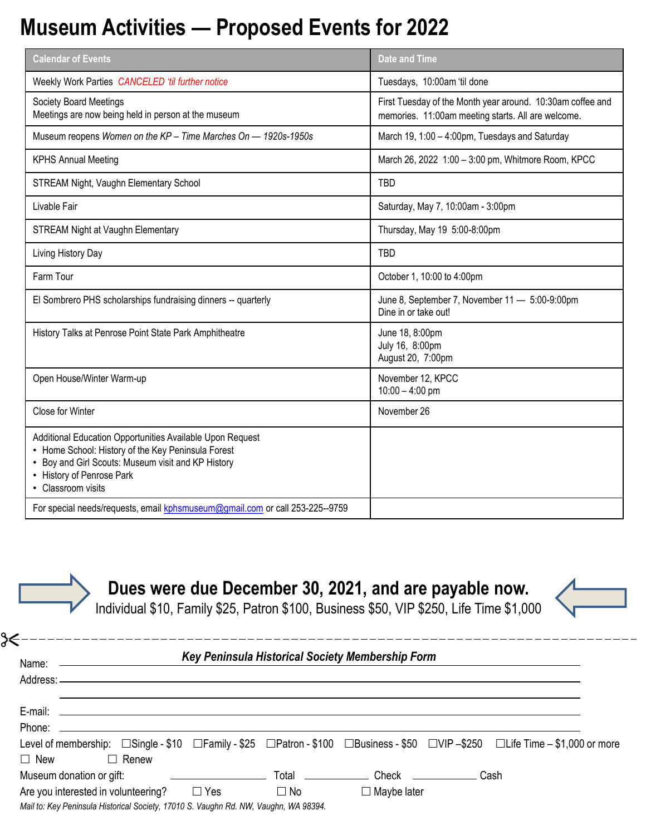## **Museum Activities — Proposed Events for 2022**

| <b>Calendar of Events</b>                                                                                                                                                                                                | <b>Date and Time</b>                                                                                             |  |  |
|--------------------------------------------------------------------------------------------------------------------------------------------------------------------------------------------------------------------------|------------------------------------------------------------------------------------------------------------------|--|--|
| Weekly Work Parties CANCELED 'til further notice                                                                                                                                                                         | Tuesdays, 10:00am 'til done                                                                                      |  |  |
| Society Board Meetings<br>Meetings are now being held in person at the museum                                                                                                                                            | First Tuesday of the Month year around. 10:30am coffee and<br>memories. 11:00am meeting starts. All are welcome. |  |  |
| Museum reopens Women on the KP - Time Marches On - 1920s-1950s                                                                                                                                                           | March 19, 1:00 - 4:00pm, Tuesdays and Saturday                                                                   |  |  |
| <b>KPHS Annual Meeting</b>                                                                                                                                                                                               | March 26, 2022 1:00 - 3:00 pm, Whitmore Room, KPCC                                                               |  |  |
| STREAM Night, Vaughn Elementary School                                                                                                                                                                                   | TBD                                                                                                              |  |  |
| Livable Fair                                                                                                                                                                                                             | Saturday, May 7, 10:00am - 3:00pm                                                                                |  |  |
| <b>STREAM Night at Vaughn Elementary</b>                                                                                                                                                                                 | Thursday, May 19 5:00-8:00pm                                                                                     |  |  |
| Living History Day                                                                                                                                                                                                       | <b>TBD</b>                                                                                                       |  |  |
| Farm Tour                                                                                                                                                                                                                | October 1, 10:00 to 4:00pm                                                                                       |  |  |
| El Sombrero PHS scholarships fundraising dinners -- quarterly                                                                                                                                                            | June 8, September 7, November 11 - 5:00-9:00pm<br>Dine in or take out!                                           |  |  |
| History Talks at Penrose Point State Park Amphitheatre                                                                                                                                                                   | June 18, 8:00pm<br>July 16, 8:00pm<br>August 20, 7:00pm                                                          |  |  |
| Open House/Winter Warm-up                                                                                                                                                                                                | November 12, KPCC<br>$10:00 - 4:00$ pm                                                                           |  |  |
| Close for Winter                                                                                                                                                                                                         | November 26                                                                                                      |  |  |
| Additional Education Opportunities Available Upon Request<br>• Home School: History of the Key Peninsula Forest<br>• Boy and Girl Scouts: Museum visit and KP History<br>• History of Penrose Park<br>• Classroom visits |                                                                                                                  |  |  |
| For special needs/requests, email kphsmuseum@gmail.com or call 253-225--9759                                                                                                                                             |                                                                                                                  |  |  |

**Dues were due December 30, 2021, and are payable now.**

Individual \$10, Family \$25, Patron \$100, Business \$50, VIP \$250, Life Time \$1,000

|            | Name: ————————                                                                                                                            |           | Key Peninsula Historical Society Membership Form |  |
|------------|-------------------------------------------------------------------------------------------------------------------------------------------|-----------|--------------------------------------------------|--|
| Phone:     |                                                                                                                                           |           |                                                  |  |
|            | Level of membership: □Single - \$10 □Family - \$25 □Patron - \$100 □Business - \$50 □VIP –\$250 □Life Time – \$1,000 or more              |           |                                                  |  |
| $\Box$ New | $\Box$ Renew                                                                                                                              |           |                                                  |  |
|            | Museum donation or gift:                                                                                                                  |           |                                                  |  |
|            | Are you interested in volunteering? $\square$ Yes<br>Mail to: Key Peninsula Historical Society, 17010 S. Vaughn Rd. NW, Vaughn, WA 98394. | $\Box$ No | $\Box$ Maybe later                               |  |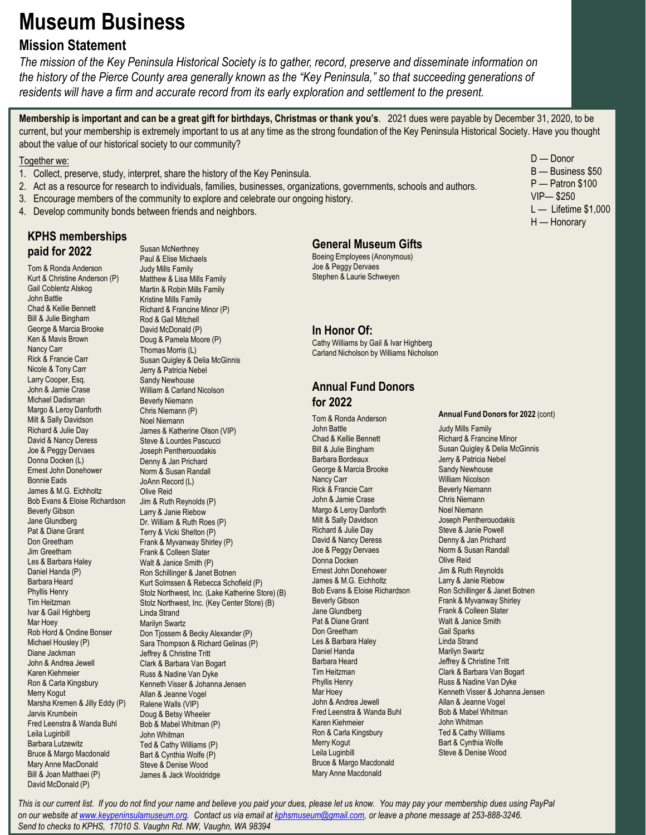## **Museum Business**

### **Mission Statement**

*The mission of the Key Peninsula Historical Society is to gather, record, preserve and disseminate information on the history of the Pierce County area generally known as the "Key Peninsula," so that succeeding generations of residents will have a firm and accurate record from its early exploration and settlement to the present.* 

**Membership is important and can be a great gift for birthdays, Christmas or thank you's**. 2021 dues were payable by December 31, 2020, to be current, but your membership is extremely important to us at any time as the strong foundation of the Key Peninsula Historical Society. Have you thought about the value of our historical society to our community?

#### Together we:

- 1. Collect, preserve, study, interpret, share the history of the Key Peninsula.
- 2. Act as a resource for research to individuals, families, businesses, organizations, governments, schools and authors.
- 3. Encourage members of the community to explore and celebrate our ongoing history.
- 4. Develop community bonds between friends and neighbors.

#### **KPHS memberships paid for 2022**

Tom & Ronda Anderson Kurt & Christine Anderson (P) Gail Coblentz Alskog John Battle Chad & Kellie Bennett Bill & Julie Bingham George & Marcia Brooke Ken & Mavis Brown Nancy Carr Rick & Francie Carr Nicole & Tony Carr Larry Cooper, Esq. John & Jamie Crase Michael Dadisman Margo & Leroy Danforth Milt & Sally Davidson Richard & Julie Day David & Nancy Deress Joe & Peggy Dervaes Donna Docken (L) Ernest John Donehower Bonnie Eads James & M.G. Eichholtz Bob Evans & Eloise Richardson Beverly Gibson Jane Glundberg Pat & Diane Grant Don Greetham Jim Greetham Les & Barbara Haley Daniel Handa (P) Barbara Heard Phyllis Henry Tim Heitzman Ivar & Gail Highberg Mar Hoey Rob Hord & Ondine Bonser Michael Housley (P) Diane Jackman John & Andrea Jewell Karen Kiehmeier Ron & Carla Kingsbury Merry Kogut Marsha Kremen & Jilly Eddy (P) Jarvis Krumbein Fred Leenstra & Wanda Buhl Leila Luginbill Barbara Lutzewitz Bruce & Margo Macdonald Mary Anne MacDonald Bill & Joan Matthaei (P) David McDonald (P)

Susan McNerthney Paul & Elise Michaels Judy Mills Family Matthew & Lisa Mills Family Martin & Robin Mills Family Kristine Mills Family Richard & Francine Minor (P) Rod & Gail Mitchell David McDonald (P) Doug & Pamela Moore (P) Thomas Morris (L) Susan Quigley & Delia McGinnis Jerry & Patricia Nebel Sandy Newhouse William & Carland Nicolson Beverly Niemann Chris Niemann (P) Noel Niemann James & Katherine Olson (VIP) Steve & Lourdes Pascucci Joseph Pentherouodakis Denny & Jan Prichard Norm & Susan Randall JoAnn Record (L) Olive Reid Jim & Ruth Reynolds (P) Larry & Janie Riebow Dr. William & Ruth Roes (P) Terry & Vicki Shelton (P) Frank & Myvanway Shirley (P) Frank & Colleen Slater Walt & Janice Smith (P) Ron Schillinger & Janet Botnen Kurt Solmssen & Rebecca Schofield (P) Stolz Northwest, Inc. (Lake Katherine Store) (B) Stolz Northwest, Inc. (Key Center Store) (B) Linda Strand Marilyn Swartz Don Tjossem & Becky Alexander (P) Sara Thompson & Richard Gelinas (P) Jeffrey & Christine Tritt Clark & Barbara Van Bogart Russ & Nadine Van Dyke Kenneth Visser & Johanna Jensen Allan & Jeanne Vogel Ralene Walls (VIP) Doug & Betsy Wheeler Bob & Mabel Whitman (P) John Whitman Ted & Cathy Williams (P) Bart & Cynthia Wolfe (P) Steve & Denise Wood James & Jack Wooldridge

#### **General Museum Gifts**

Boeing Employees (Anonymous) Joe & Peggy Dervaes Stephen & Laurie Schweyen

#### **In Honor Of:**

Cathy Williams by Gail & Ivar Highberg Carland Nicholson by Williams Nicholson

#### **Annual Fund Donors for 2022**

Tom & Ronda Anderson John Battle Chad & Kellie Bennett Bill & Julie Bingham Barbara Bordeaux George & Marcia Brooke Nancy Carr Rick & Francie Carr John & Jamie Crase Margo & Leroy Danforth Milt & Sally Davidson Richard & Julie Day David & Nancy Deress Joe & Peggy Dervaes Donna Docken Ernest John Donehower James & M.G. Eichholtz Bob Evans & Eloise Richardson Beverly Gibson Jane Glundberg Pat & Diane Grant Don Greetham Les & Barbara Haley Daniel Handa Barbara Heard Tim Heitzman Phyllis Henry Mar Hoey John & Andrea Jewell Fred Leenstra & Wanda Buhl Karen Kiehmeier Ron & Carla Kingsbury Merry Kogut Leila Luginbill Bruce & Margo Macdonald Mary Anne Macdonald

D — Donor B — Business \$50 P — Patron \$100 VIP— \$250 L — Lifetime \$1,000 H — Honorary

#### **Annual Fund Donors for 2022** (cont)

Judy Mills Family Richard & Francine Minor Susan Quigley & Delia McGinnis Jerry & Patricia Nebel Sandy Newhouse William Nicolson Beverly Niemann Chris Niemann Noel Niemann Joseph Pentherouodakis Steve & Janie Powell Denny & Jan Prichard Norm & Susan Randall Olive Reid Jim & Ruth Reynolds Larry & Janie Riebow Ron Schillinger & Janet Botnen Frank & Myvanway Shirley Frank & Colleen Slater Walt & Janice Smith Gail Sparks Linda Strand Marilyn Swartz Jeffrey & Christine Tritt Clark & Barbara Van Bogart Russ & Nadine Van Dyke Kenneth Visser & Johanna Jensen Allan & Jeanne Vogel Bob & Mabel Whitman John Whitman Ted & Cathy Williams Bart & Cynthia Wolfe Steve & Denise Wood

*This is our current list. If you do not find your name and believe you paid your dues, please let us know. You may pay your membership dues using PayPal on our website at [www.keypeninsulamuseum.org](http://www.keypeninsulamuseum.org/). Contact us via email at [kphsmuseum@gmail.com](mailto:kphsmuseum@gmail.com), or leave a phone message at 253-888-3246. Send to checks to KPHS, 17010 S. Vaughn Rd. NW, Vaughn, WA 98394*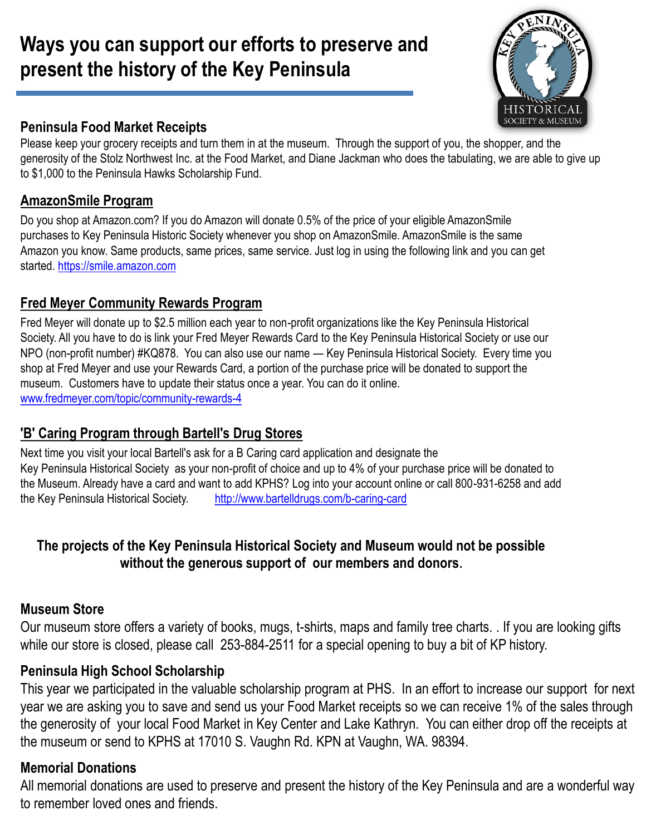## **Ways you can support our efforts to preserve and present the history of the Key Peninsula**



### **Peninsula Food Market Receipts**

Please keep your grocery receipts and turn them in at the museum. Through the support of you, the shopper, and the generosity of the Stolz Northwest Inc. at the Food Market, and Diane Jackman who does the tabulating, we are able to give up to \$1,000 to the Peninsula Hawks Scholarship Fund.

### **AmazonSmile Program**

Do you shop at Amazon.com? If you do Amazon will donate 0.5% of the price of your eligible AmazonSmile purchases to Key Peninsula Historic Society whenever you shop on AmazonSmile. AmazonSmile is the same Amazon you know. Same products, same prices, same service. Just log in using the following link and you can get started. [https://smile.amazon.com](https://smile.amazon.com/)

## **Fred Meyer Community Rewards Program**

Fred Meyer will donate up to \$2.5 million each year to non-profit organizations like the Key Peninsula Historical Society. All you have to do is link your Fred Meyer Rewards Card to the Key Peninsula Historical Society or use our NPO (non-profit number) #KQ878. You can also use our name — Key Peninsula Historical Society. Every time you shop at Fred Meyer and use your Rewards Card, a portion of the purchase price will be donated to support the museum. Customers have to update their status once a year. You can do it online. [www.fredmeyer.com/topic/community-rewards-4](http://www.fredmeyer.com/topic/community-rewards-4)

## **'B' Caring Program through Bartell's Drug Stores**

Next time you visit your local Bartell's ask for a B Caring card application and designate the Key Peninsula Historical Society as your non-profit of choice and up to 4% of your purchase price will be donated to the Museum. Already have a card and want to add KPHS? Log into your account online or call 800-931-6258 and add the Key Peninsula Historical Society. <http://www.bartelldrugs.com/b-caring-card>

## **The projects of the Key Peninsula Historical Society and Museum would not be possible without the generous support of our members and donors.**

### **Museum Store**

Our museum store offers a variety of books, mugs, t-shirts, maps and family tree charts. . If you are looking gifts while our store is closed, please call 253-884-2511 for a special opening to buy a bit of KP history.

## **Peninsula High School Scholarship**

This year we participated in the valuable scholarship program at PHS. In an effort to increase our support for next year we are asking you to save and send us your Food Market receipts so we can receive 1% of the sales through the generosity of your local Food Market in Key Center and Lake Kathryn. You can either drop off the receipts at the museum or send to KPHS at 17010 S. Vaughn Rd. KPN at Vaughn, WA. 98394.

## **Memorial Donations**

All memorial donations are used to preserve and present the history of the Key Peninsula and are a wonderful way to remember loved ones and friends.